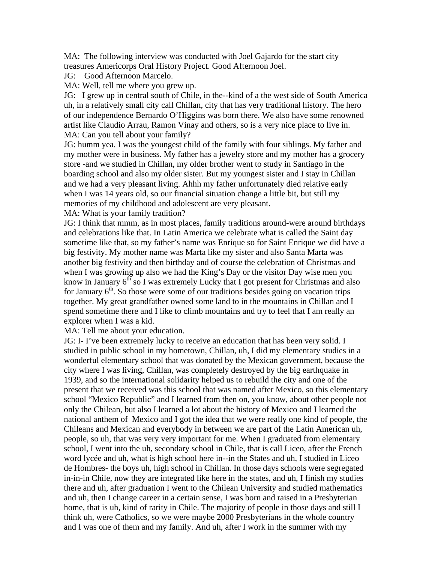MA: The following interview was conducted with Joel Gajardo for the start city treasures Americorps Oral History Project. Good Afternoon Joel.

JG: Good Afternoon Marcelo.

MA: Well, tell me where you grew up.

JG: I grew up in central south of Chile, in the--kind of a the west side of South America uh, in a relatively small city call Chillan, city that has very traditional history. The hero of our independence Bernardo O'Higgins was born there. We also have some renowned artist like Claudio Arrau, Ramon Vinay and others, so is a very nice place to live in. MA: Can you tell about your family?

JG: humm yea. I was the youngest child of the family with four siblings. My father and my mother were in business. My father has a jewelry store and my mother has a grocery store -and we studied in Chillan, my older brother went to study in Santiago in the boarding school and also my older sister. But my youngest sister and I stay in Chillan and we had a very pleasant living. Ahhh my father unfortunately died relative early when I was 14 years old, so our financial situation change a little bit, but still my memories of my childhood and adolescent are very pleasant.

MA: What is your family tradition?

JG: I think that mmm, as in most places, family traditions around-were around birthdays and celebrations like that. In Latin America we celebrate what is called the Saint day sometime like that, so my father's name was Enrique so for Saint Enrique we did have a big festivity. My mother name was Marta like my sister and also Santa Marta was another big festivity and then birthday and of course the celebration of Christmas and when I was growing up also we had the King's Day or the visitor Day wise men you know in January  $6<sup>th</sup>$  so I was extremely Lucky that I got present for Christmas and also for January  $6<sup>th</sup>$ . So those were some of our traditions besides going on vacation trips together. My great grandfather owned some land to in the mountains in Chillan and I spend sometime there and I like to climb mountains and try to feel that I am really an explorer when I was a kid.

MA: Tell me about your education.

JG: I- I've been extremely lucky to receive an education that has been very solid. I studied in public school in my hometown, Chillan, uh, I did my elementary studies in a wonderful elementary school that was donated by the Mexican government, because the city where I was living, Chillan, was completely destroyed by the big earthquake in 1939, and so the international solidarity helped us to rebuild the city and one of the present that we received was this school that was named after Mexico, so this elementary school "Mexico Republic" and I learned from then on, you know, about other people not only the Chilean, but also I learned a lot about the history of Mexico and I learned the national anthem of Mexico and I got the idea that we were really one kind of people, the Chileans and Mexican and everybody in between we are part of the Latin American uh, people, so uh, that was very very important for me. When I graduated from elementary school, I went into the uh, secondary school in Chile, that is call Liceo, after the French word lycée and uh, what is high school here in--in the States and uh, I studied in Liceo de Hombres- the boys uh, high school in Chillan. In those days schools were segregated in-in-in Chile, now they are integrated like here in the states, and uh, I finish my studies there and uh, after graduation I went to the Chilean University and studied mathematics and uh, then I change career in a certain sense, I was born and raised in a Presbyterian home, that is uh, kind of rarity in Chile. The majority of people in those days and still I think uh, were Catholics, so we were maybe 2000 Presbyterians in the whole country and I was one of them and my family. And uh, after I work in the summer with my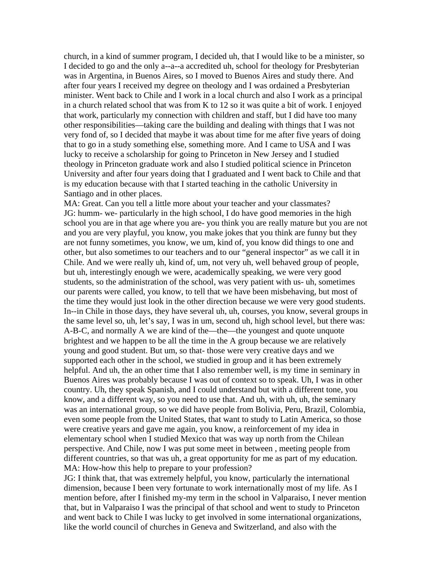church, in a kind of summer program, I decided uh, that I would like to be a minister, so I decided to go and the only a--a--a accredited uh, school for theology for Presbyterian was in Argentina, in Buenos Aires, so I moved to Buenos Aires and study there. And after four years I received my degree on theology and I was ordained a Presbyterian minister. Went back to Chile and I work in a local church and also I work as a principal in a church related school that was from K to 12 so it was quite a bit of work. I enjoyed that work, particularly my connection with children and staff, but I did have too many other responsibilities—taking care the building and dealing with things that I was not very fond of, so I decided that maybe it was about time for me after five years of doing that to go in a study something else, something more. And I came to USA and I was lucky to receive a scholarship for going to Princeton in New Jersey and I studied theology in Princeton graduate work and also I studied political science in Princeton University and after four years doing that I graduated and I went back to Chile and that is my education because with that I started teaching in the catholic University in Santiago and in other places.

MA: Great. Can you tell a little more about your teacher and your classmates? JG: humm- we- particularly in the high school, I do have good memories in the high school you are in that age where you are- you think you are really mature but you are not and you are very playful, you know, you make jokes that you think are funny but they are not funny sometimes, you know, we um, kind of, you know did things to one and other, but also sometimes to our teachers and to our "general inspector" as we call it in Chile. And we were really uh, kind of, um, not very uh, well behaved group of people, but uh, interestingly enough we were, academically speaking, we were very good students, so the administration of the school, was very patient with us- uh, sometimes our parents were called, you know, to tell that we have been misbehaving, but most of the time they would just look in the other direction because we were very good students. In--in Chile in those days, they have several uh, uh, courses, you know, several groups in the same level so, uh, let's say, I was in um, second uh, high school level, but there was: A-B-C, and normally A we are kind of the—the—the youngest and quote unquote brightest and we happen to be all the time in the A group because we are relatively young and good student. But um, so that- those were very creative days and we supported each other in the school, we studied in group and it has been extremely helpful. And uh, the an other time that I also remember well, is my time in seminary in Buenos Aires was probably because I was out of context so to speak. Uh, I was in other country. Uh, they speak Spanish, and I could understand but with a different tone, you know, and a different way, so you need to use that. And uh, with uh, uh, the seminary was an international group, so we did have people from Bolivia, Peru, Brazil, Colombia, even some people from the United States, that want to study to Latin America, so those were creative years and gave me again, you know, a reinforcement of my idea in elementary school when I studied Mexico that was way up north from the Chilean perspective. And Chile, now I was put some meet in between , meeting people from different countries, so that was uh, a great opportunity for me as part of my education. MA: How-how this help to prepare to your profession?

JG: I think that, that was extremely helpful, you know, particularly the international dimension, because I been very fortunate to work internationally most of my life. As I mention before, after I finished my-my term in the school in Valparaiso, I never mention that, but in Valparaiso I was the principal of that school and went to study to Princeton and went back to Chile I was lucky to get involved in some international organizations, like the world council of churches in Geneva and Switzerland, and also with the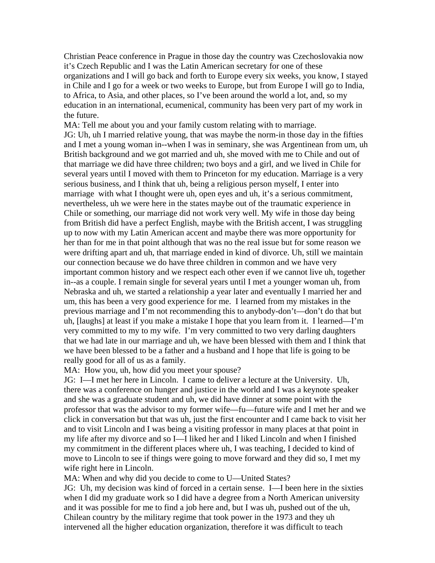Christian Peace conference in Prague in those day the country was Czechoslovakia now it's Czech Republic and I was the Latin American secretary for one of these organizations and I will go back and forth to Europe every six weeks, you know, I stayed in Chile and I go for a week or two weeks to Europe, but from Europe I will go to India, to Africa, to Asia, and other places, so I've been around the world a lot, and, so my education in an international, ecumenical, community has been very part of my work in the future.

MA: Tell me about you and your family custom relating with to marriage. JG: Uh, uh I married relative young, that was maybe the norm-in those day in the fifties and I met a young woman in--when I was in seminary, she was Argentinean from um, uh British background and we got married and uh, she moved with me to Chile and out of that marriage we did have three children; two boys and a girl, and we lived in Chile for several years until I moved with them to Princeton for my education. Marriage is a very serious business, and I think that uh, being a religious person myself, I enter into marriage with what I thought were uh, open eyes and uh, it's a serious commitment, nevertheless, uh we were here in the states maybe out of the traumatic experience in Chile or something, our marriage did not work very well. My wife in those day being from British did have a perfect English, maybe with the British accent, I was struggling up to now with my Latin American accent and maybe there was more opportunity for her than for me in that point although that was no the real issue but for some reason we were drifting apart and uh, that marriage ended in kind of divorce. Uh, still we maintain our connection because we do have three children in common and we have very important common history and we respect each other even if we cannot live uh, together in--as a couple. I remain single for several years until I met a younger woman uh, from Nebraska and uh, we started a relationship a year later and eventually I married her and um, this has been a very good experience for me. I learned from my mistakes in the previous marriage and I'm not recommending this to anybody-don't—don't do that but uh, [laughs] at least if you make a mistake I hope that you learn from it. I learned—I'm very committed to my to my wife. I'm very committed to two very darling daughters that we had late in our marriage and uh, we have been blessed with them and I think that we have been blessed to be a father and a husband and I hope that life is going to be really good for all of us as a family.

MA: How you, uh, how did you meet your spouse?

JG: I—I met her here in Lincoln. I came to deliver a lecture at the University. Uh, there was a conference on hunger and justice in the world and I was a keynote speaker and she was a graduate student and uh, we did have dinner at some point with the professor that was the advisor to my former wife—fu—future wife and I met her and we click in conversation but that was uh, just the first encounter and I came back to visit her and to visit Lincoln and I was being a visiting professor in many places at that point in my life after my divorce and so I—I liked her and I liked Lincoln and when I finished my commitment in the different places where uh, I was teaching, I decided to kind of move to Lincoln to see if things were going to move forward and they did so, I met my wife right here in Lincoln.

MA: When and why did you decide to come to U—United States?

JG: Uh, my decision was kind of forced in a certain sense. I—I been here in the sixties when I did my graduate work so I did have a degree from a North American university and it was possible for me to find a job here and, but I was uh, pushed out of the uh, Chilean country by the military regime that took power in the 1973 and they uh intervened all the higher education organization, therefore it was difficult to teach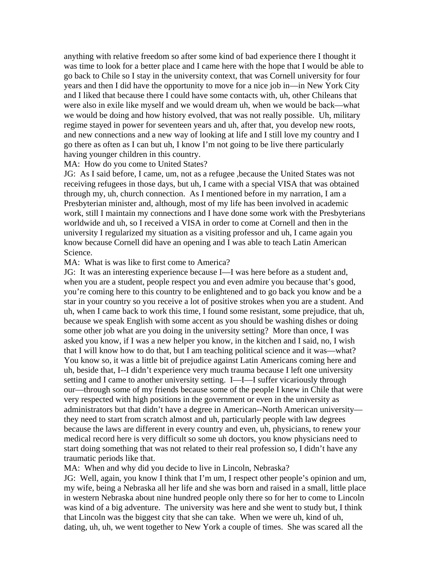anything with relative freedom so after some kind of bad experience there I thought it was time to look for a better place and I came here with the hope that I would be able to go back to Chile so I stay in the university context, that was Cornell university for four years and then I did have the opportunity to move for a nice job in—in New York City and I liked that because there I could have some contacts with, uh, other Chileans that were also in exile like myself and we would dream uh, when we would be back—what we would be doing and how history evolved, that was not really possible. Uh, military regime stayed in power for seventeen years and uh, after that, you develop new roots, and new connections and a new way of looking at life and I still love my country and I go there as often as I can but uh, I know I'm not going to be live there particularly having younger children in this country.

## MA: How do you come to United States?

JG: As I said before, I came, um, not as a refugee ,because the United States was not receiving refugees in those days, but uh, I came with a special VISA that was obtained through my, uh, church connection. As I mentioned before in my narration, I am a Presbyterian minister and, although, most of my life has been involved in academic work, still I maintain my connections and I have done some work with the Presbyterians worldwide and uh, so I received a VISA in order to come at Cornell and then in the university I regularized my situation as a visiting professor and uh, I came again you know because Cornell did have an opening and I was able to teach Latin American Science.

## MA: What is was like to first come to America?

JG: It was an interesting experience because I—I was here before as a student and, when you are a student, people respect you and even admire you because that's good, you're coming here to this country to be enlightened and to go back you know and be a star in your country so you receive a lot of positive strokes when you are a student. And uh, when I came back to work this time, I found some resistant, some prejudice, that uh, because we speak English with some accent as you should be washing dishes or doing some other job what are you doing in the university setting? More than once, I was asked you know, if I was a new helper you know, in the kitchen and I said, no, I wish that I will know how to do that, but I am teaching political science and it was—what? You know so, it was a little bit of prejudice against Latin Americans coming here and uh, beside that, I--I didn't experience very much trauma because I left one university setting and I came to another university setting. I—I—I suffer vicariously through our—through some of my friends because some of the people I knew in Chile that were very respected with high positions in the government or even in the university as administrators but that didn't have a degree in American--North American university they need to start from scratch almost and uh, particularly people with law degrees because the laws are different in every country and even, uh, physicians, to renew your medical record here is very difficult so some uh doctors, you know physicians need to start doing something that was not related to their real profession so, I didn't have any traumatic periods like that.

MA: When and why did you decide to live in Lincoln, Nebraska?

JG: Well, again, you know I think that I'm um, I respect other people's opinion and um, my wife, being a Nebraska all her life and she was born and raised in a small, little place in western Nebraska about nine hundred people only there so for her to come to Lincoln was kind of a big adventure. The university was here and she went to study but, I think that Lincoln was the biggest city that she can take. When we were uh, kind of uh, dating, uh, uh, we went together to New York a couple of times. She was scared all the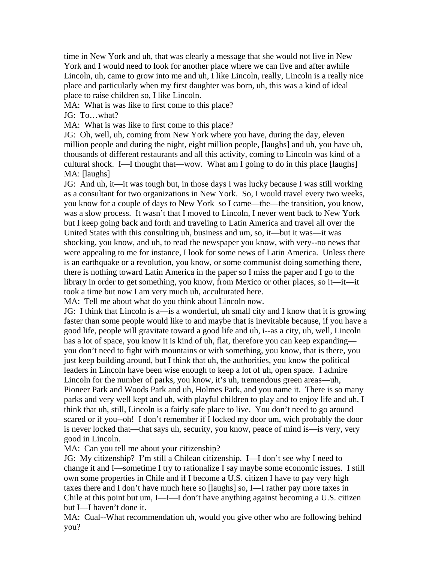time in New York and uh, that was clearly a message that she would not live in New York and I would need to look for another place where we can live and after awhile Lincoln, uh, came to grow into me and uh, I like Lincoln, really, Lincoln is a really nice place and particularly when my first daughter was born, uh, this was a kind of ideal place to raise children so, I like Lincoln.

MA: What is was like to first come to this place?

JG: To…what?

MA: What is was like to first come to this place?

JG: Oh, well, uh, coming from New York where you have, during the day, eleven million people and during the night, eight million people, [laughs] and uh, you have uh, thousands of different restaurants and all this activity, coming to Lincoln was kind of a cultural shock. I—I thought that—wow. What am I going to do in this place [laughs] MA: [laughs]

JG: And uh, it—it was tough but, in those days I was lucky because I was still working as a consultant for two organizations in New York. So, I would travel every two weeks, you know for a couple of days to New York so I came—the—the transition, you know, was a slow process. It wasn't that I moved to Lincoln, I never went back to New York but I keep going back and forth and traveling to Latin America and travel all over the United States with this consulting uh, business and um, so, it—but it was—it was shocking, you know, and uh, to read the newspaper you know, with very--no news that were appealing to me for instance, I look for some news of Latin America. Unless there is an earthquake or a revolution, you know, or some communist doing something there, there is nothing toward Latin America in the paper so I miss the paper and I go to the library in order to get something, you know, from Mexico or other places, so it—it—it took a time but now I am very much uh, acculturated here.

MA: Tell me about what do you think about Lincoln now.

JG: I think that Lincoln is a—is a wonderful, uh small city and I know that it is growing faster than some people would like to and maybe that is inevitable because, if you have a good life, people will gravitate toward a good life and uh, i--as a city, uh, well, Lincoln has a lot of space, you know it is kind of uh, flat, therefore you can keep expanding you don't need to fight with mountains or with something, you know, that is there, you just keep building around, but I think that uh, the authorities, you know the political leaders in Lincoln have been wise enough to keep a lot of uh, open space. I admire Lincoln for the number of parks, you know, it's uh, tremendous green areas—uh, Pioneer Park and Woods Park and uh, Holmes Park, and you name it. There is so many parks and very well kept and uh, with playful children to play and to enjoy life and uh, I think that uh, still, Lincoln is a fairly safe place to live. You don't need to go around scared or if you--oh! I don't remember if I locked my door um, wich probably the door is never locked that—that says uh, security, you know, peace of mind is—is very, very good in Lincoln.

MA: Can you tell me about your citizenship?

JG: My citizenship? I'm still a Chilean citizenship. I—I don't see why I need to change it and I—sometime I try to rationalize I say maybe some economic issues. I still own some properties in Chile and if I become a U.S. citizen I have to pay very high taxes there and I don't have much here so [laughs] so, I—I rather pay more taxes in Chile at this point but um, I—I—I don't have anything against becoming a U.S. citizen but I—I haven't done it.

MA: Cual--What recommendation uh, would you give other who are following behind you?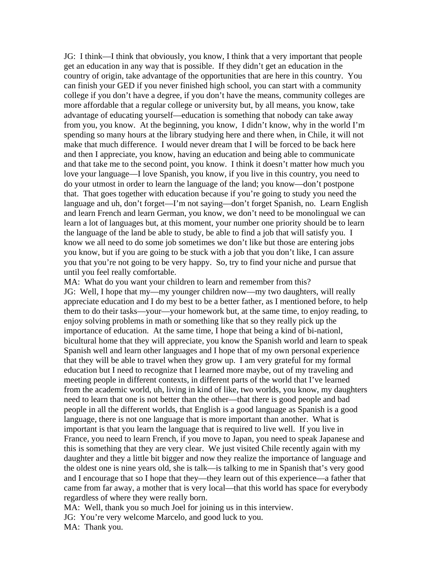JG: I think—I think that obviously, you know, I think that a very important that people get an education in any way that is possible. If they didn't get an education in the country of origin, take advantage of the opportunities that are here in this country. You can finish your GED if you never finished high school, you can start with a community college if you don't have a degree, if you don't have the means, community colleges are more affordable that a regular college or university but, by all means, you know, take advantage of educating yourself—education is something that nobody can take away from you, you know. At the beginning, you know, I didn't know, why in the world I'm spending so many hours at the library studying here and there when, in Chile, it will not make that much difference. I would never dream that I will be forced to be back here and then I appreciate, you know, having an education and being able to communicate and that take me to the second point, you know. I think it doesn't matter how much you love your language—I love Spanish, you know, if you live in this country, you need to do your utmost in order to learn the language of the land; you know—don't postpone that. That goes together with education because if you're going to study you need the language and uh, don't forget—I'm not saying—don't forget Spanish, no. Learn English and learn French and learn German, you know, we don't need to be monolingual we can learn a lot of languages but, at this moment, your number one priority should be to learn the language of the land be able to study, be able to find a job that will satisfy you. I know we all need to do some job sometimes we don't like but those are entering jobs you know, but if you are going to be stuck with a job that you don't like, I can assure you that you're not going to be very happy. So, try to find your niche and pursue that until you feel really comfortable.

MA: What do you want your children to learn and remember from this? JG: Well, I hope that my—my younger children now—my two daughters, will really appreciate education and I do my best to be a better father, as I mentioned before, to help them to do their tasks—your—your homework but, at the same time, to enjoy reading, to enjoy solving problems in math or something like that so they really pick up the importance of education. At the same time, I hope that being a kind of bi-nationl, bicultural home that they will appreciate, you know the Spanish world and learn to speak Spanish well and learn other languages and I hope that of my own personal experience that they will be able to travel when they grow up. I am very grateful for my formal education but I need to recognize that I learned more maybe, out of my traveling and meeting people in different contexts, in different parts of the world that I've learned from the academic world, uh, living in kind of like, two worlds, you know, my daughters need to learn that one is not better than the other—that there is good people and bad people in all the different worlds, that English is a good language as Spanish is a good language, there is not one language that is more important than another. What is important is that you learn the language that is required to live well. If you live in France, you need to learn French, if you move to Japan, you need to speak Japanese and this is something that they are very clear. We just visited Chile recently again with my daughter and they a little bit bigger and now they realize the importance of language and the oldest one is nine years old, she is talk—is talking to me in Spanish that's very good and I encourage that so I hope that they—they learn out of this experience—a father that came from far away, a mother that is very local—that this world has space for everybody regardless of where they were really born.

MA: Well, thank you so much Joel for joining us in this interview.

JG: You're very welcome Marcelo, and good luck to you.

MA: Thank you.